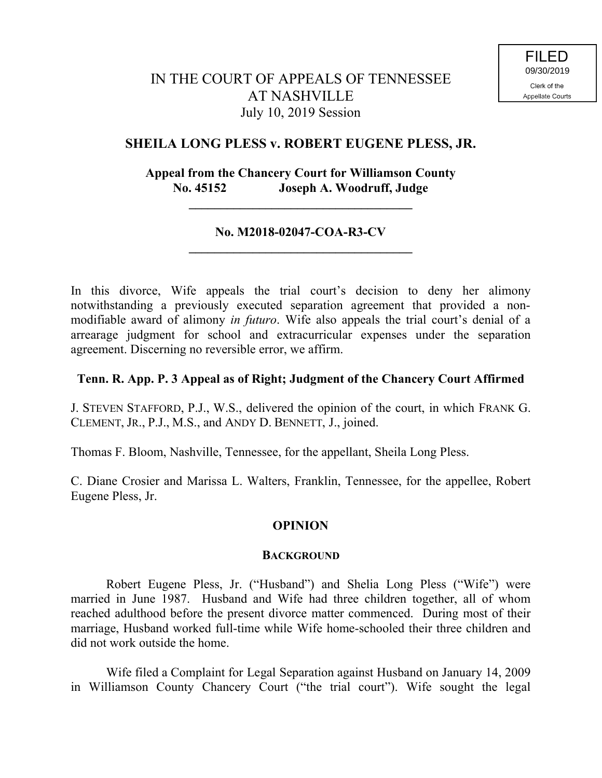# IN THE COURT OF APPEALS OF TENNESSEE AT NASHVILLE July 10, 2019 Session

## **SHEILA LONG PLESS v. ROBERT EUGENE PLESS, JR.**

## **Appeal from the Chancery Court for Williamson County No. 45152 Joseph A. Woodruff, Judge**

## **No. M2018-02047-COA-R3-CV \_\_\_\_\_\_\_\_\_\_\_\_\_\_\_\_\_\_\_\_\_\_\_\_\_\_\_\_\_\_\_\_\_\_\_**

**\_\_\_\_\_\_\_\_\_\_\_\_\_\_\_\_\_\_\_\_\_\_\_\_\_\_\_\_\_\_\_\_\_\_\_**

In this divorce, Wife appeals the trial court's decision to deny her alimony notwithstanding a previously executed separation agreement that provided a nonmodifiable award of alimony *in futuro*. Wife also appeals the trial court's denial of a arrearage judgment for school and extracurricular expenses under the separation agreement. Discerning no reversible error, we affirm.

## **Tenn. R. App. P. 3 Appeal as of Right; Judgment of the Chancery Court Affirmed**

J. STEVEN STAFFORD, P.J., W.S., delivered the opinion of the court, in which FRANK G. CLEMENT, JR., P.J., M.S., and ANDY D. BENNETT, J., joined.

Thomas F. Bloom, Nashville, Tennessee, for the appellant, Sheila Long Pless.

C. Diane Crosier and Marissa L. Walters, Franklin, Tennessee, for the appellee, Robert Eugene Pless, Jr.

## **OPINION**

#### **BACKGROUND**

Robert Eugene Pless, Jr. ("Husband") and Shelia Long Pless ("Wife") were married in June 1987. Husband and Wife had three children together, all of whom reached adulthood before the present divorce matter commenced. During most of their marriage, Husband worked full-time while Wife home-schooled their three children and did not work outside the home.

Wife filed a Complaint for Legal Separation against Husband on January 14, 2009 in Williamson County Chancery Court ("the trial court"). Wife sought the legal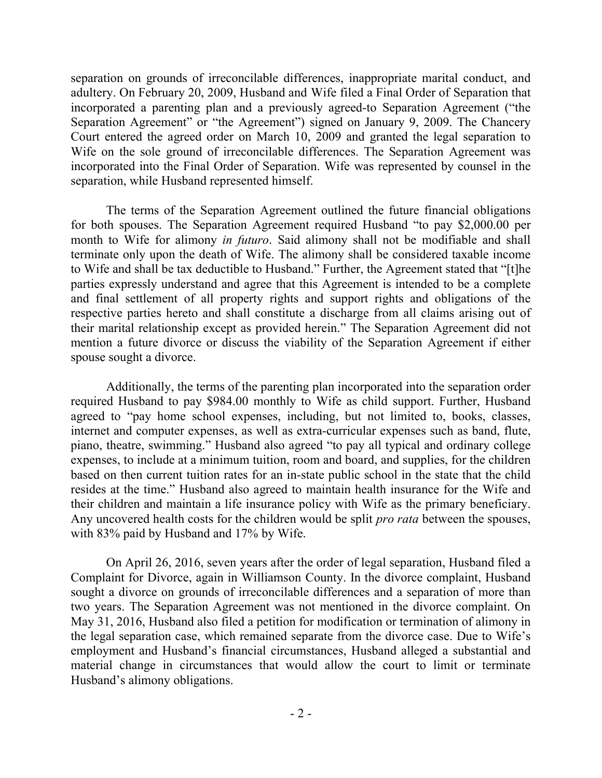separation on grounds of irreconcilable differences, inappropriate marital conduct, and adultery. On February 20, 2009, Husband and Wife filed a Final Order of Separation that incorporated a parenting plan and a previously agreed-to Separation Agreement ("the Separation Agreement" or "the Agreement") signed on January 9, 2009. The Chancery Court entered the agreed order on March 10, 2009 and granted the legal separation to Wife on the sole ground of irreconcilable differences. The Separation Agreement was incorporated into the Final Order of Separation. Wife was represented by counsel in the separation, while Husband represented himself.

The terms of the Separation Agreement outlined the future financial obligations for both spouses. The Separation Agreement required Husband "to pay \$2,000.00 per month to Wife for alimony *in futuro*. Said alimony shall not be modifiable and shall terminate only upon the death of Wife. The alimony shall be considered taxable income to Wife and shall be tax deductible to Husband." Further, the Agreement stated that "[t]he parties expressly understand and agree that this Agreement is intended to be a complete and final settlement of all property rights and support rights and obligations of the respective parties hereto and shall constitute a discharge from all claims arising out of their marital relationship except as provided herein." The Separation Agreement did not mention a future divorce or discuss the viability of the Separation Agreement if either spouse sought a divorce.

Additionally, the terms of the parenting plan incorporated into the separation order required Husband to pay \$984.00 monthly to Wife as child support. Further, Husband agreed to "pay home school expenses, including, but not limited to, books, classes, internet and computer expenses, as well as extra-curricular expenses such as band, flute, piano, theatre, swimming." Husband also agreed "to pay all typical and ordinary college expenses, to include at a minimum tuition, room and board, and supplies, for the children based on then current tuition rates for an in-state public school in the state that the child resides at the time." Husband also agreed to maintain health insurance for the Wife and their children and maintain a life insurance policy with Wife as the primary beneficiary. Any uncovered health costs for the children would be split *pro rata* between the spouses, with 83% paid by Husband and 17% by Wife.

On April 26, 2016, seven years after the order of legal separation, Husband filed a Complaint for Divorce, again in Williamson County. In the divorce complaint, Husband sought a divorce on grounds of irreconcilable differences and a separation of more than two years. The Separation Agreement was not mentioned in the divorce complaint. On May 31, 2016, Husband also filed a petition for modification or termination of alimony in the legal separation case, which remained separate from the divorce case. Due to Wife's employment and Husband's financial circumstances, Husband alleged a substantial and material change in circumstances that would allow the court to limit or terminate Husband's alimony obligations.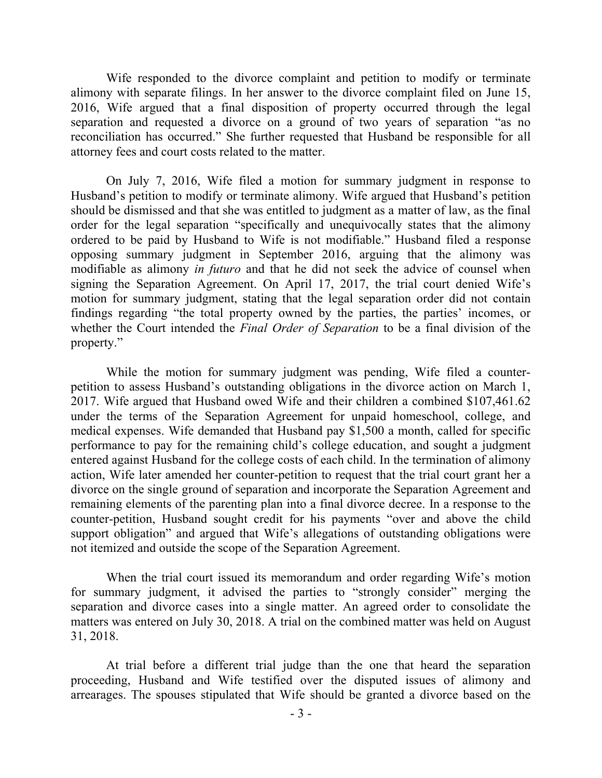Wife responded to the divorce complaint and petition to modify or terminate alimony with separate filings. In her answer to the divorce complaint filed on June 15, 2016, Wife argued that a final disposition of property occurred through the legal separation and requested a divorce on a ground of two years of separation "as no reconciliation has occurred." She further requested that Husband be responsible for all attorney fees and court costs related to the matter.

On July 7, 2016, Wife filed a motion for summary judgment in response to Husband's petition to modify or terminate alimony. Wife argued that Husband's petition should be dismissed and that she was entitled to judgment as a matter of law, as the final order for the legal separation "specifically and unequivocally states that the alimony ordered to be paid by Husband to Wife is not modifiable." Husband filed a response opposing summary judgment in September 2016, arguing that the alimony was modifiable as alimony *in futuro* and that he did not seek the advice of counsel when signing the Separation Agreement. On April 17, 2017, the trial court denied Wife's motion for summary judgment, stating that the legal separation order did not contain findings regarding "the total property owned by the parties, the parties' incomes, or whether the Court intended the *Final Order of Separation* to be a final division of the property."

While the motion for summary judgment was pending, Wife filed a counterpetition to assess Husband's outstanding obligations in the divorce action on March 1, 2017. Wife argued that Husband owed Wife and their children a combined \$107,461.62 under the terms of the Separation Agreement for unpaid homeschool, college, and medical expenses. Wife demanded that Husband pay \$1,500 a month, called for specific performance to pay for the remaining child's college education, and sought a judgment entered against Husband for the college costs of each child. In the termination of alimony action, Wife later amended her counter-petition to request that the trial court grant her a divorce on the single ground of separation and incorporate the Separation Agreement and remaining elements of the parenting plan into a final divorce decree. In a response to the counter-petition, Husband sought credit for his payments "over and above the child support obligation" and argued that Wife's allegations of outstanding obligations were not itemized and outside the scope of the Separation Agreement.

When the trial court issued its memorandum and order regarding Wife's motion for summary judgment, it advised the parties to "strongly consider" merging the separation and divorce cases into a single matter. An agreed order to consolidate the matters was entered on July 30, 2018. A trial on the combined matter was held on August 31, 2018.

At trial before a different trial judge than the one that heard the separation proceeding, Husband and Wife testified over the disputed issues of alimony and arrearages. The spouses stipulated that Wife should be granted a divorce based on the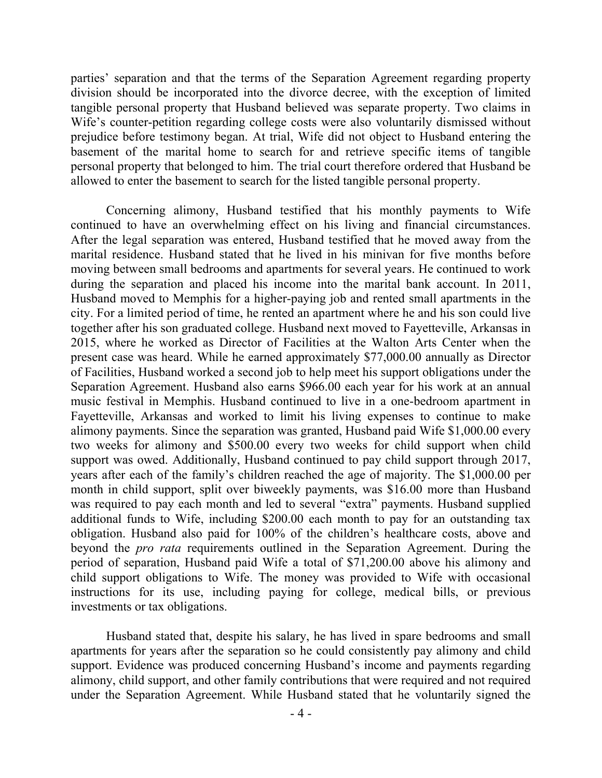parties' separation and that the terms of the Separation Agreement regarding property division should be incorporated into the divorce decree, with the exception of limited tangible personal property that Husband believed was separate property. Two claims in Wife's counter-petition regarding college costs were also voluntarily dismissed without prejudice before testimony began. At trial, Wife did not object to Husband entering the basement of the marital home to search for and retrieve specific items of tangible personal property that belonged to him. The trial court therefore ordered that Husband be allowed to enter the basement to search for the listed tangible personal property.

Concerning alimony, Husband testified that his monthly payments to Wife continued to have an overwhelming effect on his living and financial circumstances. After the legal separation was entered, Husband testified that he moved away from the marital residence. Husband stated that he lived in his minivan for five months before moving between small bedrooms and apartments for several years. He continued to work during the separation and placed his income into the marital bank account. In 2011, Husband moved to Memphis for a higher-paying job and rented small apartments in the city. For a limited period of time, he rented an apartment where he and his son could live together after his son graduated college. Husband next moved to Fayetteville, Arkansas in 2015, where he worked as Director of Facilities at the Walton Arts Center when the present case was heard. While he earned approximately \$77,000.00 annually as Director of Facilities, Husband worked a second job to help meet his support obligations under the Separation Agreement. Husband also earns \$966.00 each year for his work at an annual music festival in Memphis. Husband continued to live in a one-bedroom apartment in Fayetteville, Arkansas and worked to limit his living expenses to continue to make alimony payments. Since the separation was granted, Husband paid Wife \$1,000.00 every two weeks for alimony and \$500.00 every two weeks for child support when child support was owed. Additionally, Husband continued to pay child support through 2017, years after each of the family's children reached the age of majority. The \$1,000.00 per month in child support, split over biweekly payments, was \$16.00 more than Husband was required to pay each month and led to several "extra" payments. Husband supplied additional funds to Wife, including \$200.00 each month to pay for an outstanding tax obligation. Husband also paid for 100% of the children's healthcare costs, above and beyond the *pro rata* requirements outlined in the Separation Agreement. During the period of separation, Husband paid Wife a total of \$71,200.00 above his alimony and child support obligations to Wife. The money was provided to Wife with occasional instructions for its use, including paying for college, medical bills, or previous investments or tax obligations.

Husband stated that, despite his salary, he has lived in spare bedrooms and small apartments for years after the separation so he could consistently pay alimony and child support. Evidence was produced concerning Husband's income and payments regarding alimony, child support, and other family contributions that were required and not required under the Separation Agreement. While Husband stated that he voluntarily signed the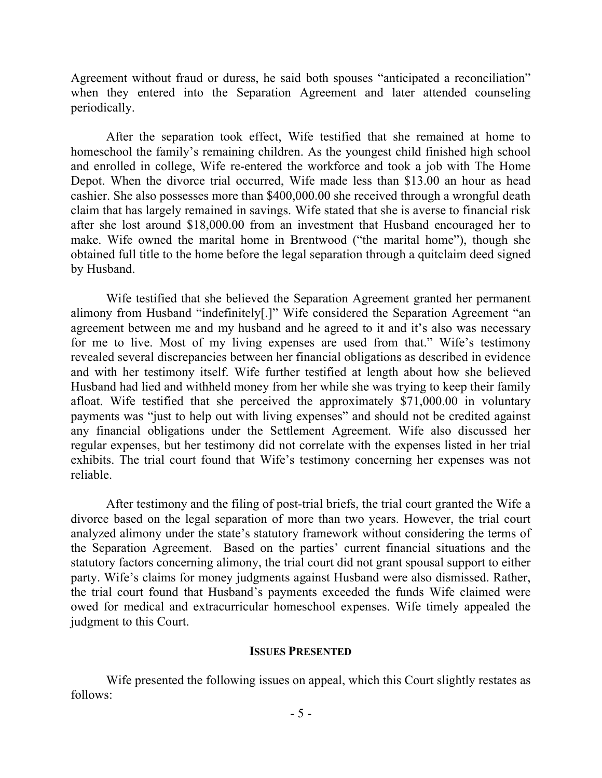Agreement without fraud or duress, he said both spouses "anticipated a reconciliation" when they entered into the Separation Agreement and later attended counseling periodically.

After the separation took effect, Wife testified that she remained at home to homeschool the family's remaining children. As the youngest child finished high school and enrolled in college, Wife re-entered the workforce and took a job with The Home Depot. When the divorce trial occurred, Wife made less than \$13.00 an hour as head cashier. She also possesses more than \$400,000.00 she received through a wrongful death claim that has largely remained in savings. Wife stated that she is averse to financial risk after she lost around \$18,000.00 from an investment that Husband encouraged her to make. Wife owned the marital home in Brentwood ("the marital home"), though she obtained full title to the home before the legal separation through a quitclaim deed signed by Husband.

Wife testified that she believed the Separation Agreement granted her permanent alimony from Husband "indefinitely[.]" Wife considered the Separation Agreement "an agreement between me and my husband and he agreed to it and it's also was necessary for me to live. Most of my living expenses are used from that." Wife's testimony revealed several discrepancies between her financial obligations as described in evidence and with her testimony itself. Wife further testified at length about how she believed Husband had lied and withheld money from her while she was trying to keep their family afloat. Wife testified that she perceived the approximately \$71,000.00 in voluntary payments was "just to help out with living expenses" and should not be credited against any financial obligations under the Settlement Agreement. Wife also discussed her regular expenses, but her testimony did not correlate with the expenses listed in her trial exhibits. The trial court found that Wife's testimony concerning her expenses was not reliable.

After testimony and the filing of post-trial briefs, the trial court granted the Wife a divorce based on the legal separation of more than two years. However, the trial court analyzed alimony under the state's statutory framework without considering the terms of the Separation Agreement. Based on the parties' current financial situations and the statutory factors concerning alimony, the trial court did not grant spousal support to either party. Wife's claims for money judgments against Husband were also dismissed. Rather, the trial court found that Husband's payments exceeded the funds Wife claimed were owed for medical and extracurricular homeschool expenses. Wife timely appealed the judgment to this Court.

#### **ISSUES PRESENTED**

Wife presented the following issues on appeal, which this Court slightly restates as follows: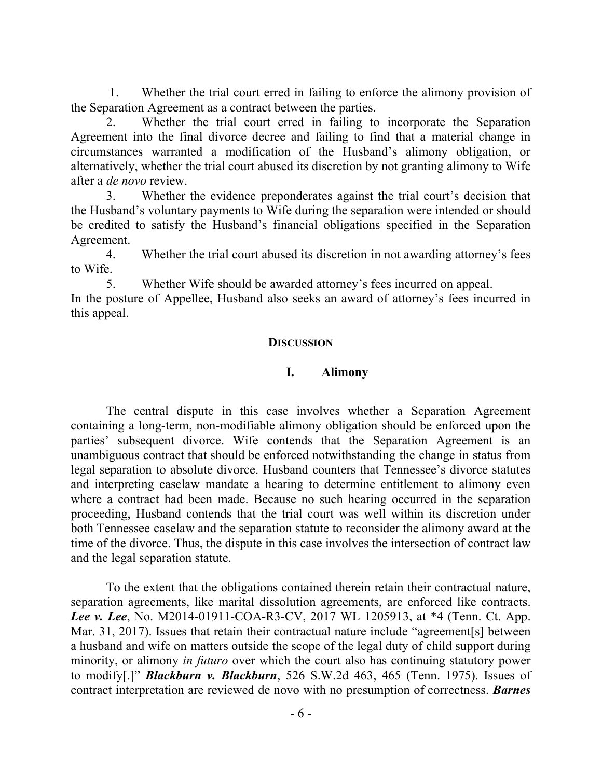1. Whether the trial court erred in failing to enforce the alimony provision of the Separation Agreement as a contract between the parties.

2. Whether the trial court erred in failing to incorporate the Separation Agreement into the final divorce decree and failing to find that a material change in circumstances warranted a modification of the Husband's alimony obligation, or alternatively, whether the trial court abused its discretion by not granting alimony to Wife after a *de novo* review.

3. Whether the evidence preponderates against the trial court's decision that the Husband's voluntary payments to Wife during the separation were intended or should be credited to satisfy the Husband's financial obligations specified in the Separation Agreement.

4. Whether the trial court abused its discretion in not awarding attorney's fees to Wife.

5. Whether Wife should be awarded attorney's fees incurred on appeal.

In the posture of Appellee, Husband also seeks an award of attorney's fees incurred in this appeal.

## **DISCUSSION**

## **I. Alimony**

The central dispute in this case involves whether a Separation Agreement containing a long-term, non-modifiable alimony obligation should be enforced upon the parties' subsequent divorce. Wife contends that the Separation Agreement is an unambiguous contract that should be enforced notwithstanding the change in status from legal separation to absolute divorce. Husband counters that Tennessee's divorce statutes and interpreting caselaw mandate a hearing to determine entitlement to alimony even where a contract had been made. Because no such hearing occurred in the separation proceeding, Husband contends that the trial court was well within its discretion under both Tennessee caselaw and the separation statute to reconsider the alimony award at the time of the divorce. Thus, the dispute in this case involves the intersection of contract law and the legal separation statute.

To the extent that the obligations contained therein retain their contractual nature, separation agreements, like marital dissolution agreements, are enforced like contracts. *Lee v. Lee*, No. M2014-01911-COA-R3-CV, 2017 WL 1205913, at \*4 (Tenn. Ct. App. Mar. 31, 2017). Issues that retain their contractual nature include "agreement[s] between a husband and wife on matters outside the scope of the legal duty of child support during minority, or alimony *in futuro* over which the court also has continuing statutory power to modify[.]" *Blackburn v. Blackburn*, 526 S.W.2d 463, 465 (Tenn. 1975). Issues of contract interpretation are reviewed de novo with no presumption of correctness. *Barnes*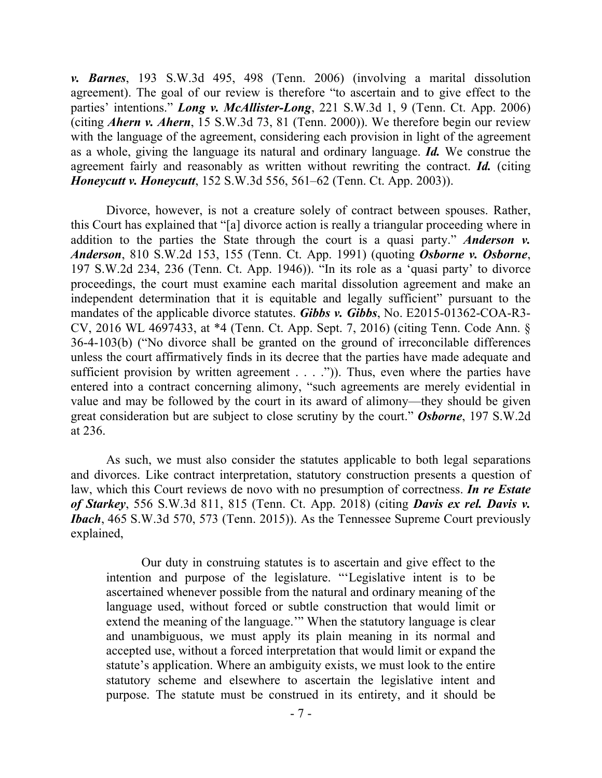*v. Barnes*, 193 S.W.3d 495, 498 (Tenn. 2006) (involving a marital dissolution agreement). The goal of our review is therefore "to ascertain and to give effect to the parties' intentions." *Long v. McAllister-Long*, 221 S.W.3d 1, 9 (Tenn. Ct. App. 2006) (citing *Ahern v. Ahern*, 15 S.W.3d 73, 81 (Tenn. 2000)). We therefore begin our review with the language of the agreement, considering each provision in light of the agreement as a whole, giving the language its natural and ordinary language. *Id.* We construe the agreement fairly and reasonably as written without rewriting the contract. *Id.* (citing *Honeycutt v. Honeycutt*, 152 S.W.3d 556, 561–62 (Tenn. Ct. App. 2003)).

Divorce, however, is not a creature solely of contract between spouses. Rather, this Court has explained that "[a] divorce action is really a triangular proceeding where in addition to the parties the State through the court is a quasi party." *Anderson v. Anderson*, 810 S.W.2d 153, 155 (Tenn. Ct. App. 1991) (quoting *Osborne v. Osborne*, 197 S.W.2d 234, 236 (Tenn. Ct. App. 1946)). "In its role as a 'quasi party' to divorce proceedings, the court must examine each marital dissolution agreement and make an independent determination that it is equitable and legally sufficient" pursuant to the mandates of the applicable divorce statutes. *Gibbs v. Gibbs*, No. E2015-01362-COA-R3- CV, 2016 WL 4697433, at \*4 (Tenn. Ct. App. Sept. 7, 2016) (citing Tenn. Code Ann. § 36-4-103(b) ("No divorce shall be granted on the ground of irreconcilable differences unless the court affirmatively finds in its decree that the parties have made adequate and sufficient provision by written agreement  $\dots$ . ..."). Thus, even where the parties have entered into a contract concerning alimony, "such agreements are merely evidential in value and may be followed by the court in its award of alimony—they should be given great consideration but are subject to close scrutiny by the court." *Osborne*, 197 S.W.2d at 236.

As such, we must also consider the statutes applicable to both legal separations and divorces. Like contract interpretation, statutory construction presents a question of law, which this Court reviews de novo with no presumption of correctness. *In re Estate of Starkey*, 556 S.W.3d 811, 815 (Tenn. Ct. App. 2018) (citing *Davis ex rel. Davis v. Ibach*, 465 S.W.3d 570, 573 (Tenn. 2015)). As the Tennessee Supreme Court previously explained,

Our duty in construing statutes is to ascertain and give effect to the intention and purpose of the legislature. "'Legislative intent is to be ascertained whenever possible from the natural and ordinary meaning of the language used, without forced or subtle construction that would limit or extend the meaning of the language.'" When the statutory language is clear and unambiguous, we must apply its plain meaning in its normal and accepted use, without a forced interpretation that would limit or expand the statute's application. Where an ambiguity exists, we must look to the entire statutory scheme and elsewhere to ascertain the legislative intent and purpose. The statute must be construed in its entirety, and it should be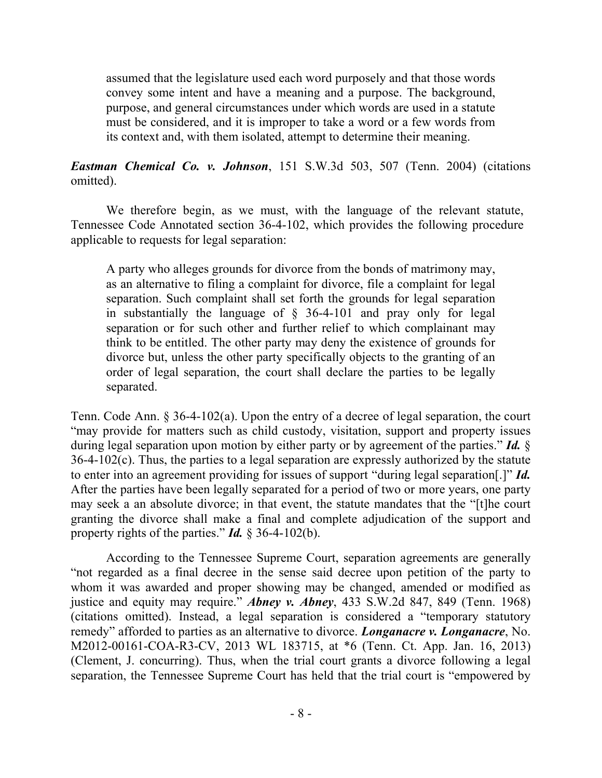assumed that the legislature used each word purposely and that those words convey some intent and have a meaning and a purpose. The background, purpose, and general circumstances under which words are used in a statute must be considered, and it is improper to take a word or a few words from its context and, with them isolated, attempt to determine their meaning.

*Eastman Chemical Co. v. Johnson*, 151 S.W.3d 503, 507 (Tenn. 2004) (citations omitted).

We therefore begin, as we must, with the language of the relevant statute, Tennessee Code Annotated section 36-4-102, which provides the following procedure applicable to requests for legal separation:

A party who alleges grounds for divorce from the bonds of matrimony may, as an alternative to filing a complaint for divorce, file a complaint for legal separation. Such complaint shall set forth the grounds for legal separation in substantially the language of § 36-4-101 and pray only for legal separation or for such other and further relief to which complainant may think to be entitled. The other party may deny the existence of grounds for divorce but, unless the other party specifically objects to the granting of an order of legal separation, the court shall declare the parties to be legally separated.

Tenn. Code Ann. § 36-4-102(a). Upon the entry of a decree of legal separation, the court "may provide for matters such as child custody, visitation, support and property issues during legal separation upon motion by either party or by agreement of the parties." *Id.* §  $36-4-102(c)$ . Thus, the parties to a legal separation are expressly authorized by the statute to enter into an agreement providing for issues of support "during legal separation[.]" *Id.* After the parties have been legally separated for a period of two or more years, one party may seek a an absolute divorce; in that event, the statute mandates that the "[t]he court granting the divorce shall make a final and complete adjudication of the support and property rights of the parties." *Id.* § 36-4-102(b).

According to the Tennessee Supreme Court, separation agreements are generally "not regarded as a final decree in the sense said decree upon petition of the party to whom it was awarded and proper showing may be changed, amended or modified as justice and equity may require." *Abney v. Abney*, 433 S.W.2d 847, 849 (Tenn. 1968) (citations omitted). Instead, a legal separation is considered a "temporary statutory remedy" afforded to parties as an alternative to divorce. *Longanacre v. Longanacre*, No. M2012-00161-COA-R3-CV, 2013 WL 183715, at \*6 (Tenn. Ct. App. Jan. 16, 2013) (Clement, J. concurring). Thus, when the trial court grants a divorce following a legal separation, the Tennessee Supreme Court has held that the trial court is "empowered by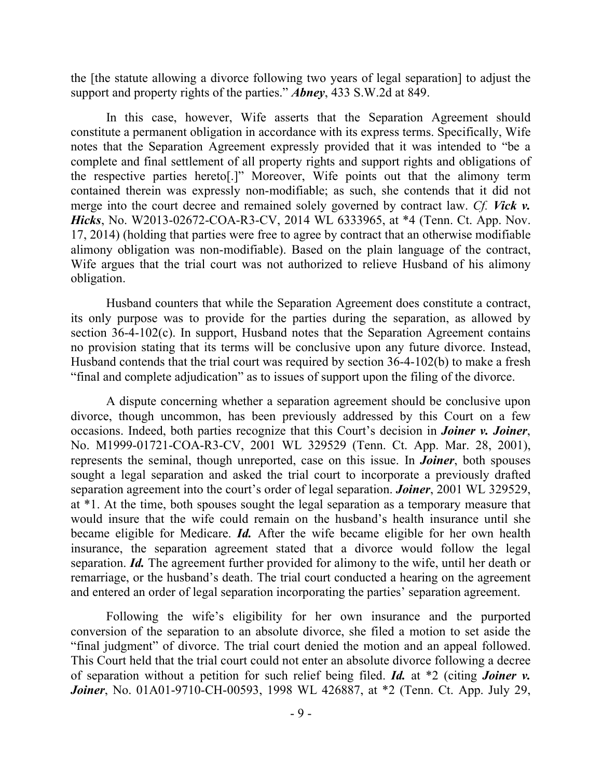the [the statute allowing a divorce following two years of legal separation] to adjust the support and property rights of the parties." *Abney*, 433 S.W.2d at 849.

In this case, however, Wife asserts that the Separation Agreement should constitute a permanent obligation in accordance with its express terms. Specifically, Wife notes that the Separation Agreement expressly provided that it was intended to "be a complete and final settlement of all property rights and support rights and obligations of the respective parties hereto[.]" Moreover, Wife points out that the alimony term contained therein was expressly non-modifiable; as such, she contends that it did not merge into the court decree and remained solely governed by contract law. *Cf. Vick v. Hicks*, No. W2013-02672-COA-R3-CV, 2014 WL 6333965, at \*4 (Tenn. Ct. App. Nov. 17, 2014) (holding that parties were free to agree by contract that an otherwise modifiable alimony obligation was non-modifiable). Based on the plain language of the contract, Wife argues that the trial court was not authorized to relieve Husband of his alimony obligation.

Husband counters that while the Separation Agreement does constitute a contract, its only purpose was to provide for the parties during the separation, as allowed by section 36-4-102(c). In support, Husband notes that the Separation Agreement contains no provision stating that its terms will be conclusive upon any future divorce. Instead, Husband contends that the trial court was required by section 36-4-102(b) to make a fresh "final and complete adjudication" as to issues of support upon the filing of the divorce.

A dispute concerning whether a separation agreement should be conclusive upon divorce, though uncommon, has been previously addressed by this Court on a few occasions. Indeed, both parties recognize that this Court's decision in *Joiner v. Joiner*, No. M1999-01721-COA-R3-CV, 2001 WL 329529 (Tenn. Ct. App. Mar. 28, 2001), represents the seminal, though unreported, case on this issue. In *Joiner*, both spouses sought a legal separation and asked the trial court to incorporate a previously drafted separation agreement into the court's order of legal separation. *Joiner*, 2001 WL 329529, at \*1. At the time, both spouses sought the legal separation as a temporary measure that would insure that the wife could remain on the husband's health insurance until she became eligible for Medicare. *Id.* After the wife became eligible for her own health insurance, the separation agreement stated that a divorce would follow the legal separation. *Id.* The agreement further provided for alimony to the wife, until her death or remarriage, or the husband's death. The trial court conducted a hearing on the agreement and entered an order of legal separation incorporating the parties' separation agreement.

Following the wife's eligibility for her own insurance and the purported conversion of the separation to an absolute divorce, she filed a motion to set aside the "final judgment" of divorce. The trial court denied the motion and an appeal followed. This Court held that the trial court could not enter an absolute divorce following a decree of separation without a petition for such relief being filed. *Id.* at \*2 (citing *Joiner v. Joiner*, No. 01A01-9710-CH-00593, 1998 WL 426887, at \*2 (Tenn. Ct. App. July 29,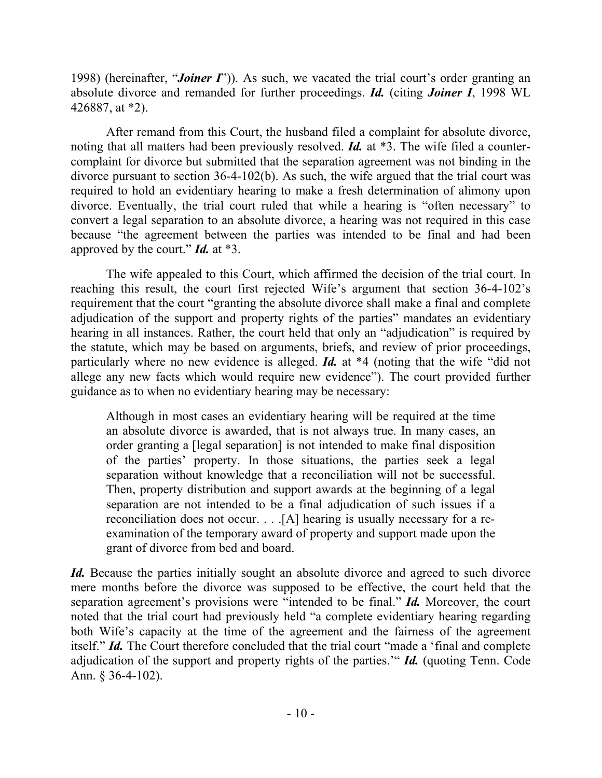1998) (hereinafter, "*Joiner I*")). As such, we vacated the trial court's order granting an absolute divorce and remanded for further proceedings. *Id.* (citing *Joiner I*, 1998 WL 426887, at \*2).

After remand from this Court, the husband filed a complaint for absolute divorce, noting that all matters had been previously resolved. *Id.* at \*3. The wife filed a countercomplaint for divorce but submitted that the separation agreement was not binding in the divorce pursuant to section 36-4-102(b). As such, the wife argued that the trial court was required to hold an evidentiary hearing to make a fresh determination of alimony upon divorce. Eventually, the trial court ruled that while a hearing is "often necessary" to convert a legal separation to an absolute divorce, a hearing was not required in this case because "the agreement between the parties was intended to be final and had been approved by the court." *Id.* at \*3.

The wife appealed to this Court, which affirmed the decision of the trial court. In reaching this result, the court first rejected Wife's argument that section 36-4-102's requirement that the court "granting the absolute divorce shall make a final and complete adjudication of the support and property rights of the parties" mandates an evidentiary hearing in all instances. Rather, the court held that only an "adjudication" is required by the statute, which may be based on arguments, briefs, and review of prior proceedings, particularly where no new evidence is alleged. *Id.* at \*4 (noting that the wife "did not allege any new facts which would require new evidence"). The court provided further guidance as to when no evidentiary hearing may be necessary:

Although in most cases an evidentiary hearing will be required at the time an absolute divorce is awarded, that is not always true. In many cases, an order granting a [legal separation] is not intended to make final disposition of the parties' property. In those situations, the parties seek a legal separation without knowledge that a reconciliation will not be successful. Then, property distribution and support awards at the beginning of a legal separation are not intended to be a final adjudication of such issues if a reconciliation does not occur. . . .[A] hearing is usually necessary for a reexamination of the temporary award of property and support made upon the grant of divorce from bed and board.

*Id.* Because the parties initially sought an absolute divorce and agreed to such divorce mere months before the divorce was supposed to be effective, the court held that the separation agreement's provisions were "intended to be final." *Id.* Moreover, the court noted that the trial court had previously held "a complete evidentiary hearing regarding both Wife's capacity at the time of the agreement and the fairness of the agreement itself." *Id.* The Court therefore concluded that the trial court "made a 'final and complete adjudication of the support and property rights of the parties.'" *Id.* (quoting Tenn. Code Ann. § 36-4-102).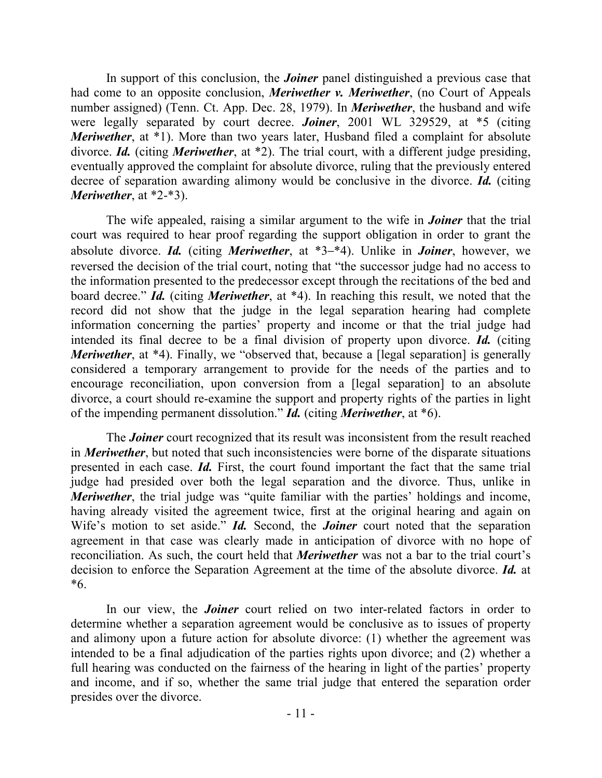In support of this conclusion, the *Joiner* panel distinguished a previous case that had come to an opposite conclusion, *Meriwether v. Meriwether*, (no Court of Appeals number assigned) (Tenn. Ct. App. Dec. 28, 1979). In *Meriwether*, the husband and wife were legally separated by court decree. *Joiner*, 2001 WL 329529, at \*5 (citing *Meriwether*, at <sup>\*</sup>1). More than two years later, Husband filed a complaint for absolute divorce. *Id.* (citing *Meriwether*, at \*2). The trial court, with a different judge presiding, eventually approved the complaint for absolute divorce, ruling that the previously entered decree of separation awarding alimony would be conclusive in the divorce. *Id.* (citing *Meriwether*, at \*2-\*3).

The wife appealed, raising a similar argument to the wife in *Joiner* that the trial court was required to hear proof regarding the support obligation in order to grant the absolute divorce. *Id.* (citing *Meriwether*, at \*3–\*4). Unlike in *Joiner*, however, we reversed the decision of the trial court, noting that "the successor judge had no access to the information presented to the predecessor except through the recitations of the bed and board decree." *Id.* (citing *Meriwether*, at \*4). In reaching this result, we noted that the record did not show that the judge in the legal separation hearing had complete information concerning the parties' property and income or that the trial judge had intended its final decree to be a final division of property upon divorce. *Id.* (citing *Meriwether*, at \*4). Finally, we "observed that, because a [legal separation] is generally considered a temporary arrangement to provide for the needs of the parties and to encourage reconciliation, upon conversion from a [legal separation] to an absolute divorce, a court should re-examine the support and property rights of the parties in light of the impending permanent dissolution." *Id.* (citing *Meriwether*, at \*6).

The *Joiner* court recognized that its result was inconsistent from the result reached in *Meriwether*, but noted that such inconsistencies were borne of the disparate situations presented in each case. *Id.* First, the court found important the fact that the same trial judge had presided over both the legal separation and the divorce. Thus, unlike in *Meriwether*, the trial judge was "quite familiar with the parties' holdings and income, having already visited the agreement twice, first at the original hearing and again on Wife's motion to set aside." *Id.* Second, the *Joiner* court noted that the separation agreement in that case was clearly made in anticipation of divorce with no hope of reconciliation. As such, the court held that *Meriwether* was not a bar to the trial court's decision to enforce the Separation Agreement at the time of the absolute divorce. *Id.* at \*6.

In our view, the *Joiner* court relied on two inter-related factors in order to determine whether a separation agreement would be conclusive as to issues of property and alimony upon a future action for absolute divorce: (1) whether the agreement was intended to be a final adjudication of the parties rights upon divorce; and (2) whether a full hearing was conducted on the fairness of the hearing in light of the parties' property and income, and if so, whether the same trial judge that entered the separation order presides over the divorce.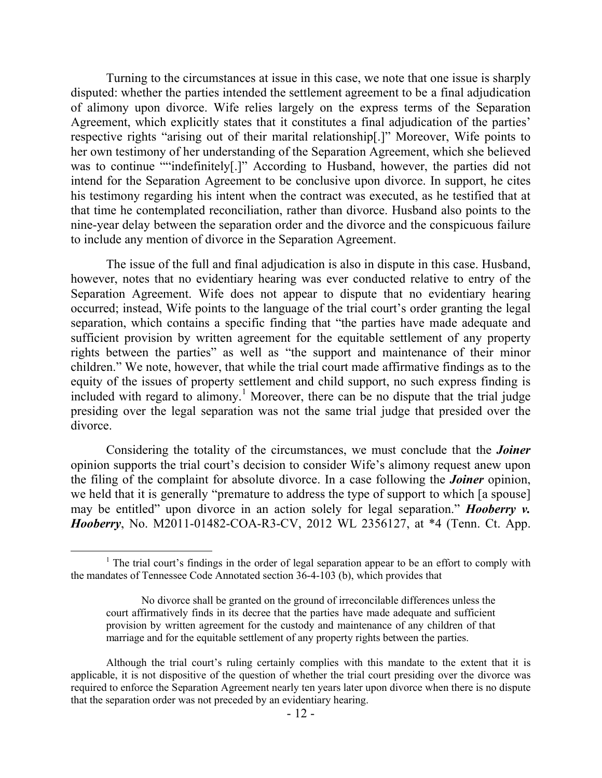Turning to the circumstances at issue in this case, we note that one issue is sharply disputed: whether the parties intended the settlement agreement to be a final adjudication of alimony upon divorce. Wife relies largely on the express terms of the Separation Agreement, which explicitly states that it constitutes a final adjudication of the parties' respective rights "arising out of their marital relationship[.]" Moreover, Wife points to her own testimony of her understanding of the Separation Agreement, which she believed was to continue ""indefinitely[.]" According to Husband, however, the parties did not intend for the Separation Agreement to be conclusive upon divorce. In support, he cites his testimony regarding his intent when the contract was executed, as he testified that at that time he contemplated reconciliation, rather than divorce. Husband also points to the nine-year delay between the separation order and the divorce and the conspicuous failure to include any mention of divorce in the Separation Agreement.

The issue of the full and final adjudication is also in dispute in this case. Husband, however, notes that no evidentiary hearing was ever conducted relative to entry of the Separation Agreement. Wife does not appear to dispute that no evidentiary hearing occurred; instead, Wife points to the language of the trial court's order granting the legal separation, which contains a specific finding that "the parties have made adequate and sufficient provision by written agreement for the equitable settlement of any property rights between the parties" as well as "the support and maintenance of their minor children." We note, however, that while the trial court made affirmative findings as to the equity of the issues of property settlement and child support, no such express finding is included with regard to alimony.<sup>1</sup> Moreover, there can be no dispute that the trial judge presiding over the legal separation was not the same trial judge that presided over the divorce.

Considering the totality of the circumstances, we must conclude that the *Joiner* opinion supports the trial court's decision to consider Wife's alimony request anew upon the filing of the complaint for absolute divorce. In a case following the *Joiner* opinion, we held that it is generally "premature to address the type of support to which [a spouse] may be entitled" upon divorce in an action solely for legal separation." *Hooberry v. Hooberry*, No. M2011-01482-COA-R3-CV, 2012 WL 2356127, at \*4 (Tenn. Ct. App.

 $\overline{a}$ 

 $1$ . The trial court's findings in the order of legal separation appear to be an effort to comply with the mandates of Tennessee Code Annotated section 36-4-103 (b), which provides that

No divorce shall be granted on the ground of irreconcilable differences unless the court affirmatively finds in its decree that the parties have made adequate and sufficient provision by written agreement for the custody and maintenance of any children of that marriage and for the equitable settlement of any property rights between the parties.

Although the trial court's ruling certainly complies with this mandate to the extent that it is applicable, it is not dispositive of the question of whether the trial court presiding over the divorce was required to enforce the Separation Agreement nearly ten years later upon divorce when there is no dispute that the separation order was not preceded by an evidentiary hearing.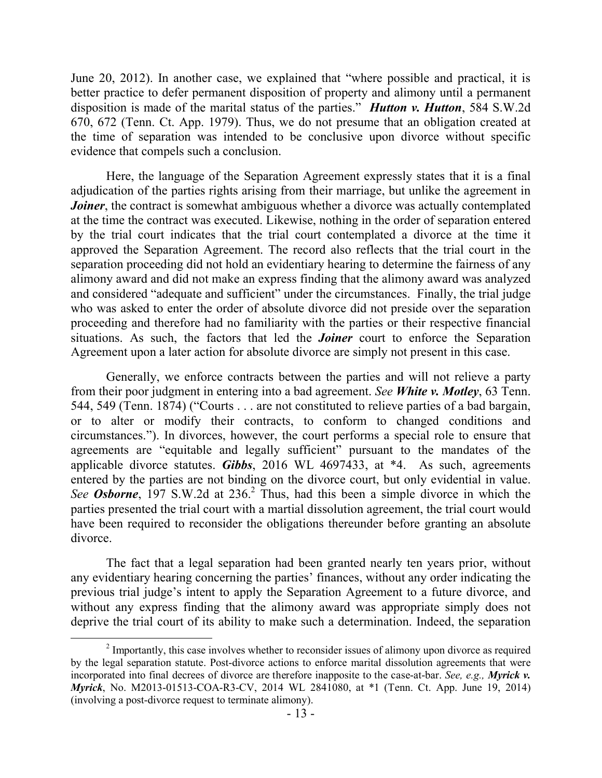June 20, 2012). In another case, we explained that "where possible and practical, it is better practice to defer permanent disposition of property and alimony until a permanent disposition is made of the marital status of the parties." *Hutton v. Hutton*, 584 S.W.2d 670, 672 (Tenn. Ct. App. 1979). Thus, we do not presume that an obligation created at the time of separation was intended to be conclusive upon divorce without specific evidence that compels such a conclusion.

Here, the language of the Separation Agreement expressly states that it is a final adjudication of the parties rights arising from their marriage, but unlike the agreement in *Joiner*, the contract is somewhat ambiguous whether a divorce was actually contemplated at the time the contract was executed. Likewise, nothing in the order of separation entered by the trial court indicates that the trial court contemplated a divorce at the time it approved the Separation Agreement. The record also reflects that the trial court in the separation proceeding did not hold an evidentiary hearing to determine the fairness of any alimony award and did not make an express finding that the alimony award was analyzed and considered "adequate and sufficient" under the circumstances. Finally, the trial judge who was asked to enter the order of absolute divorce did not preside over the separation proceeding and therefore had no familiarity with the parties or their respective financial situations. As such, the factors that led the *Joiner* court to enforce the Separation Agreement upon a later action for absolute divorce are simply not present in this case.

Generally, we enforce contracts between the parties and will not relieve a party from their poor judgment in entering into a bad agreement. *See White v. Motley*, 63 Tenn. 544, 549 (Tenn. 1874) ("Courts . . . are not constituted to relieve parties of a bad bargain, or to alter or modify their contracts, to conform to changed conditions and circumstances."). In divorces, however, the court performs a special role to ensure that agreements are "equitable and legally sufficient" pursuant to the mandates of the applicable divorce statutes. *Gibbs*, 2016 WL 4697433, at \*4. As such, agreements entered by the parties are not binding on the divorce court, but only evidential in value. See **Osborne**, 197 S.W.2d at 236.<sup>2</sup> Thus, had this been a simple divorce in which the parties presented the trial court with a martial dissolution agreement, the trial court would have been required to reconsider the obligations thereunder before granting an absolute divorce.

The fact that a legal separation had been granted nearly ten years prior, without any evidentiary hearing concerning the parties' finances, without any order indicating the previous trial judge's intent to apply the Separation Agreement to a future divorce, and without any express finding that the alimony award was appropriate simply does not deprive the trial court of its ability to make such a determination. Indeed, the separation

 $\overline{a}$ 

 $2$  Importantly, this case involves whether to reconsider issues of alimony upon divorce as required by the legal separation statute. Post-divorce actions to enforce marital dissolution agreements that were incorporated into final decrees of divorce are therefore inapposite to the case-at-bar. *See, e.g., Myrick v. Myrick*, No. M2013-01513-COA-R3-CV, 2014 WL 2841080, at \*1 (Tenn. Ct. App. June 19, 2014) (involving a post-divorce request to terminate alimony).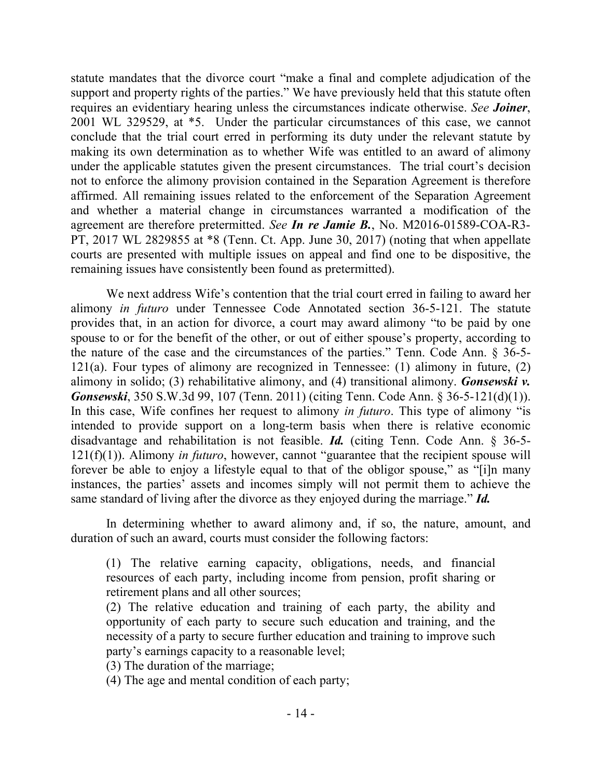statute mandates that the divorce court "make a final and complete adjudication of the support and property rights of the parties." We have previously held that this statute often requires an evidentiary hearing unless the circumstances indicate otherwise. *See Joiner*, 2001 WL 329529, at \*5. Under the particular circumstances of this case, we cannot conclude that the trial court erred in performing its duty under the relevant statute by making its own determination as to whether Wife was entitled to an award of alimony under the applicable statutes given the present circumstances. The trial court's decision not to enforce the alimony provision contained in the Separation Agreement is therefore affirmed. All remaining issues related to the enforcement of the Separation Agreement and whether a material change in circumstances warranted a modification of the agreement are therefore pretermitted. *See In re Jamie B.*, No. M2016-01589-COA-R3- PT, 2017 WL 2829855 at \*8 (Tenn. Ct. App. June 30, 2017) (noting that when appellate courts are presented with multiple issues on appeal and find one to be dispositive, the remaining issues have consistently been found as pretermitted).

We next address Wife's contention that the trial court erred in failing to award her alimony *in futuro* under Tennessee Code Annotated section 36-5-121. The statute provides that, in an action for divorce, a court may award alimony "to be paid by one spouse to or for the benefit of the other, or out of either spouse's property, according to the nature of the case and the circumstances of the parties." Tenn. Code Ann. § 36-5- 121(a). Four types of alimony are recognized in Tennessee: (1) alimony in future, (2) alimony in solido; (3) rehabilitative alimony, and (4) transitional alimony. *Gonsewski v. Gonsewski*, 350 S.W.3d 99, 107 (Tenn. 2011) (citing Tenn. Code Ann. § 36-5-121(d)(1)). In this case, Wife confines her request to alimony *in futuro*. This type of alimony "is intended to provide support on a long-term basis when there is relative economic disadvantage and rehabilitation is not feasible. *Id.* (citing Tenn. Code Ann. § 36-5- 121(f)(1)). Alimony *in futuro*, however, cannot "guarantee that the recipient spouse will forever be able to enjoy a lifestyle equal to that of the obligor spouse," as "[i]n many instances, the parties' assets and incomes simply will not permit them to achieve the same standard of living after the divorce as they enjoyed during the marriage." *Id.*

In determining whether to award alimony and, if so, the nature, amount, and duration of such an award, courts must consider the following factors:

(1) The relative earning capacity, obligations, needs, and financial resources of each party, including income from pension, profit sharing or retirement plans and all other sources;

(2) The relative education and training of each party, the ability and opportunity of each party to secure such education and training, and the necessity of a party to secure further education and training to improve such party's earnings capacity to a reasonable level;

(3) The duration of the marriage;

(4) The age and mental condition of each party;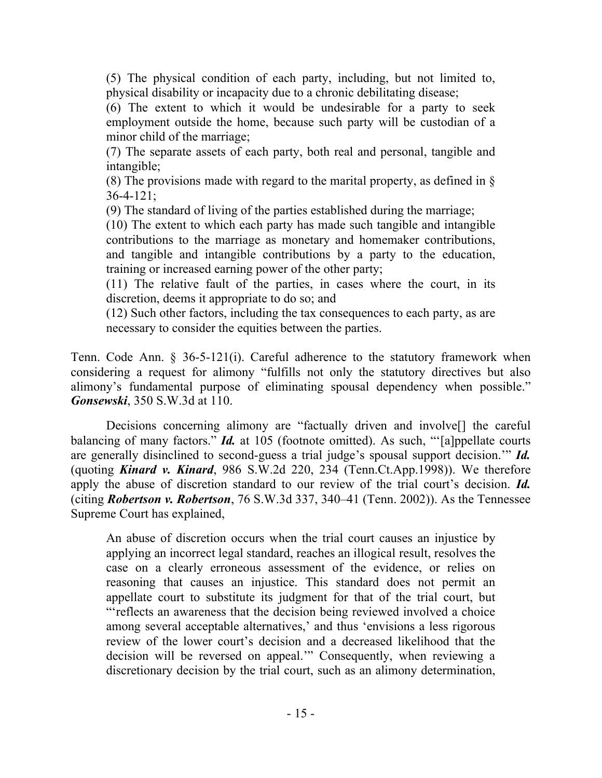(5) The physical condition of each party, including, but not limited to, physical disability or incapacity due to a chronic debilitating disease;

(6) The extent to which it would be undesirable for a party to seek employment outside the home, because such party will be custodian of a minor child of the marriage;

(7) The separate assets of each party, both real and personal, tangible and intangible;

(8) The provisions made with regard to the marital property, as defined in §  $36 - 4 - 121$ ;

(9) The standard of living of the parties established during the marriage;

(10) The extent to which each party has made such tangible and intangible contributions to the marriage as monetary and homemaker contributions, and tangible and intangible contributions by a party to the education, training or increased earning power of the other party;

(11) The relative fault of the parties, in cases where the court, in its discretion, deems it appropriate to do so; and

(12) Such other factors, including the tax consequences to each party, as are necessary to consider the equities between the parties.

Tenn. Code Ann. § 36-5-121(i). Careful adherence to the statutory framework when considering a request for alimony "fulfills not only the statutory directives but also alimony's fundamental purpose of eliminating spousal dependency when possible." *Gonsewski*, 350 S.W.3d at 110.

Decisions concerning alimony are "factually driven and involve<sup>[]</sup> the careful balancing of many factors." *Id.* at 105 (footnote omitted). As such, "[a]ppellate courts are generally disinclined to second-guess a trial judge's spousal support decision.'" *Id.* (quoting *Kinard v. Kinard*, 986 S.W.2d 220, 234 (Tenn.Ct.App.1998)). We therefore apply the abuse of discretion standard to our review of the trial court's decision. *Id.* (citing *Robertson v. Robertson*, 76 S.W.3d 337, 340–41 (Tenn. 2002)). As the Tennessee Supreme Court has explained,

An abuse of discretion occurs when the trial court causes an injustice by applying an incorrect legal standard, reaches an illogical result, resolves the case on a clearly erroneous assessment of the evidence, or relies on reasoning that causes an injustice. This standard does not permit an appellate court to substitute its judgment for that of the trial court, but "'reflects an awareness that the decision being reviewed involved a choice among several acceptable alternatives,' and thus 'envisions a less rigorous review of the lower court's decision and a decreased likelihood that the decision will be reversed on appeal.'" Consequently, when reviewing a discretionary decision by the trial court, such as an alimony determination,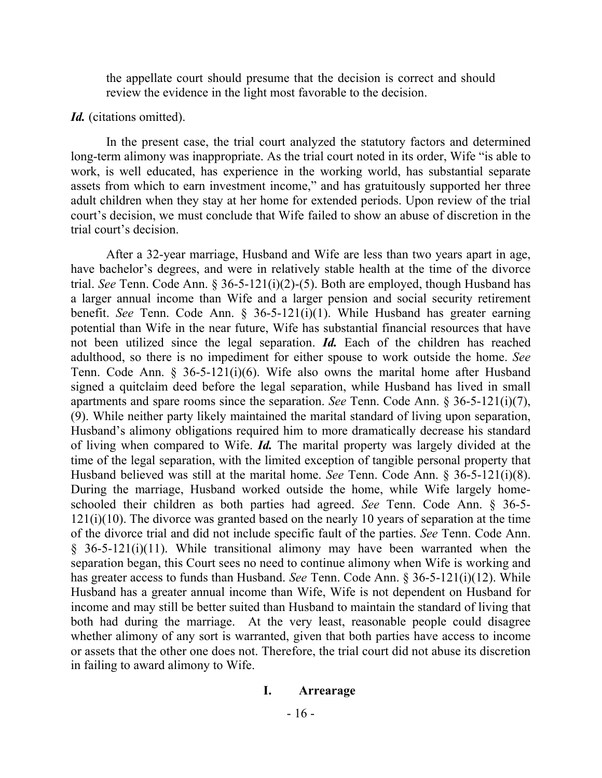the appellate court should presume that the decision is correct and should review the evidence in the light most favorable to the decision.

#### *Id.* (citations omitted).

In the present case, the trial court analyzed the statutory factors and determined long-term alimony was inappropriate. As the trial court noted in its order, Wife "is able to work, is well educated, has experience in the working world, has substantial separate assets from which to earn investment income," and has gratuitously supported her three adult children when they stay at her home for extended periods. Upon review of the trial court's decision, we must conclude that Wife failed to show an abuse of discretion in the trial court's decision.

After a 32-year marriage, Husband and Wife are less than two years apart in age, have bachelor's degrees, and were in relatively stable health at the time of the divorce trial. *See* Tenn. Code Ann. § 36-5-121(i)(2)-(5). Both are employed, though Husband has a larger annual income than Wife and a larger pension and social security retirement benefit. *See* Tenn. Code Ann. § 36-5-121(i)(1). While Husband has greater earning potential than Wife in the near future, Wife has substantial financial resources that have not been utilized since the legal separation. *Id.* Each of the children has reached adulthood, so there is no impediment for either spouse to work outside the home. *See* Tenn. Code Ann. § 36-5-121(i)(6). Wife also owns the marital home after Husband signed a quitclaim deed before the legal separation, while Husband has lived in small apartments and spare rooms since the separation. *See* Tenn. Code Ann. § 36-5-121(i)(7), (9). While neither party likely maintained the marital standard of living upon separation, Husband's alimony obligations required him to more dramatically decrease his standard of living when compared to Wife. *Id.* The marital property was largely divided at the time of the legal separation, with the limited exception of tangible personal property that Husband believed was still at the marital home. *See* Tenn. Code Ann. § 36-5-121(i)(8). During the marriage, Husband worked outside the home, while Wife largely homeschooled their children as both parties had agreed. *See* Tenn. Code Ann. § 36-5- 121(i)(10). The divorce was granted based on the nearly 10 years of separation at the time of the divorce trial and did not include specific fault of the parties. *See* Tenn. Code Ann.  $§$  36-5-121(i)(11). While transitional alimony may have been warranted when the separation began, this Court sees no need to continue alimony when Wife is working and has greater access to funds than Husband. *See* Tenn. Code Ann. § 36-5-121(i)(12). While Husband has a greater annual income than Wife, Wife is not dependent on Husband for income and may still be better suited than Husband to maintain the standard of living that both had during the marriage. At the very least, reasonable people could disagree whether alimony of any sort is warranted, given that both parties have access to income or assets that the other one does not. Therefore, the trial court did not abuse its discretion in failing to award alimony to Wife.

#### **I. Arrearage**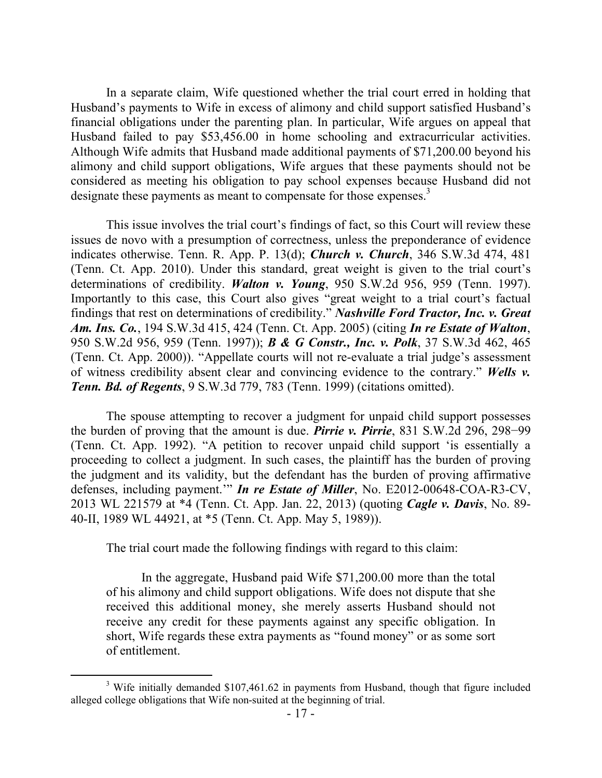In a separate claim, Wife questioned whether the trial court erred in holding that Husband's payments to Wife in excess of alimony and child support satisfied Husband's financial obligations under the parenting plan. In particular, Wife argues on appeal that Husband failed to pay \$53,456.00 in home schooling and extracurricular activities. Although Wife admits that Husband made additional payments of \$71,200.00 beyond his alimony and child support obligations, Wife argues that these payments should not be considered as meeting his obligation to pay school expenses because Husband did not designate these payments as meant to compensate for those expenses.<sup>3</sup>

This issue involves the trial court's findings of fact, so this Court will review these issues de novo with a presumption of correctness, unless the preponderance of evidence indicates otherwise. Tenn. R. App. P. 13(d); *Church v. Church*, 346 S.W.3d 474, 481 (Tenn. Ct. App. 2010). Under this standard, great weight is given to the trial court's determinations of credibility. *Walton v. Young*, 950 S.W.2d 956, 959 (Tenn. 1997). Importantly to this case, this Court also gives "great weight to a trial court's factual findings that rest on determinations of credibility." *Nashville Ford Tractor, Inc. v. Great Am. Ins. Co.*, 194 S.W.3d 415, 424 (Tenn. Ct. App. 2005) (citing *In re Estate of Walton*, 950 S.W.2d 956, 959 (Tenn. 1997)); *B & G Constr., Inc. v. Polk*, 37 S.W.3d 462, 465 (Tenn. Ct. App. 2000)). "Appellate courts will not re-evaluate a trial judge's assessment of witness credibility absent clear and convincing evidence to the contrary." *Wells v. Tenn. Bd. of Regents*, 9 S.W.3d 779, 783 (Tenn. 1999) (citations omitted).

The spouse attempting to recover a judgment for unpaid child support possesses the burden of proving that the amount is due. *Pirrie v. Pirrie*, 831 S.W.2d 296, 298−99 (Tenn. Ct. App. 1992). "A petition to recover unpaid child support 'is essentially a proceeding to collect a judgment. In such cases, the plaintiff has the burden of proving the judgment and its validity, but the defendant has the burden of proving affirmative defenses, including payment.'" *In re Estate of Miller*, No. E2012-00648-COA-R3-CV, 2013 WL 221579 at \*4 (Tenn. Ct. App. Jan. 22, 2013) (quoting *Cagle v. Davis*, No. 89- 40-II, 1989 WL 44921, at \*5 (Tenn. Ct. App. May 5, 1989)).

The trial court made the following findings with regard to this claim:

In the aggregate, Husband paid Wife \$71,200.00 more than the total of his alimony and child support obligations. Wife does not dispute that she received this additional money, she merely asserts Husband should not receive any credit for these payments against any specific obligation. In short, Wife regards these extra payments as "found money" or as some sort of entitlement.

<sup>&</sup>lt;sup>3</sup> Wife initially demanded \$107,461.62 in payments from Husband, though that figure included alleged college obligations that Wife non-suited at the beginning of trial.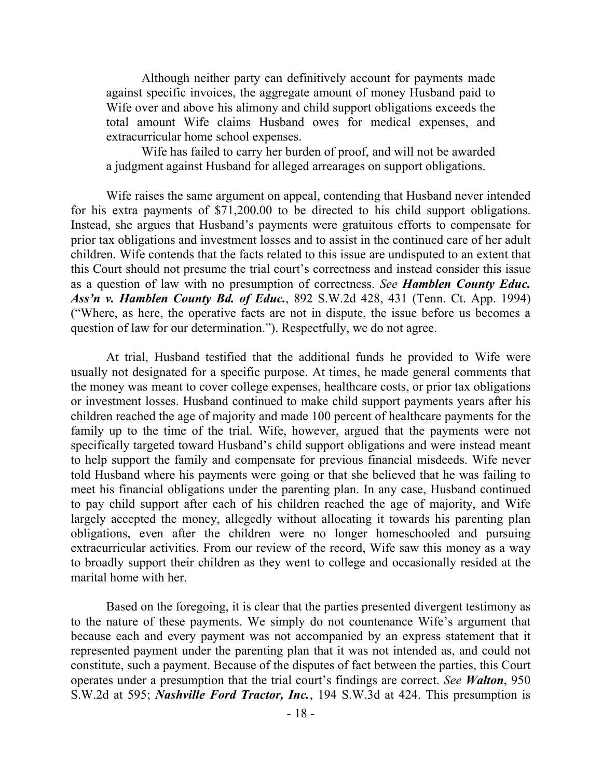Although neither party can definitively account for payments made against specific invoices, the aggregate amount of money Husband paid to Wife over and above his alimony and child support obligations exceeds the total amount Wife claims Husband owes for medical expenses, and extracurricular home school expenses.

Wife has failed to carry her burden of proof, and will not be awarded a judgment against Husband for alleged arrearages on support obligations.

Wife raises the same argument on appeal, contending that Husband never intended for his extra payments of \$71,200.00 to be directed to his child support obligations. Instead, she argues that Husband's payments were gratuitous efforts to compensate for prior tax obligations and investment losses and to assist in the continued care of her adult children. Wife contends that the facts related to this issue are undisputed to an extent that this Court should not presume the trial court's correctness and instead consider this issue as a question of law with no presumption of correctness. *See Hamblen County Educ. Ass'n v. Hamblen County Bd. of Educ.*, 892 S.W.2d 428, 431 (Tenn. Ct. App. 1994) ("Where, as here, the operative facts are not in dispute, the issue before us becomes a question of law for our determination."). Respectfully, we do not agree.

At trial, Husband testified that the additional funds he provided to Wife were usually not designated for a specific purpose. At times, he made general comments that the money was meant to cover college expenses, healthcare costs, or prior tax obligations or investment losses. Husband continued to make child support payments years after his children reached the age of majority and made 100 percent of healthcare payments for the family up to the time of the trial. Wife, however, argued that the payments were not specifically targeted toward Husband's child support obligations and were instead meant to help support the family and compensate for previous financial misdeeds. Wife never told Husband where his payments were going or that she believed that he was failing to meet his financial obligations under the parenting plan. In any case, Husband continued to pay child support after each of his children reached the age of majority, and Wife largely accepted the money, allegedly without allocating it towards his parenting plan obligations, even after the children were no longer homeschooled and pursuing extracurricular activities. From our review of the record, Wife saw this money as a way to broadly support their children as they went to college and occasionally resided at the marital home with her.

Based on the foregoing, it is clear that the parties presented divergent testimony as to the nature of these payments. We simply do not countenance Wife's argument that because each and every payment was not accompanied by an express statement that it represented payment under the parenting plan that it was not intended as, and could not constitute, such a payment. Because of the disputes of fact between the parties, this Court operates under a presumption that the trial court's findings are correct. *See Walton*, 950 S.W.2d at 595; *Nashville Ford Tractor, Inc.*, 194 S.W.3d at 424. This presumption is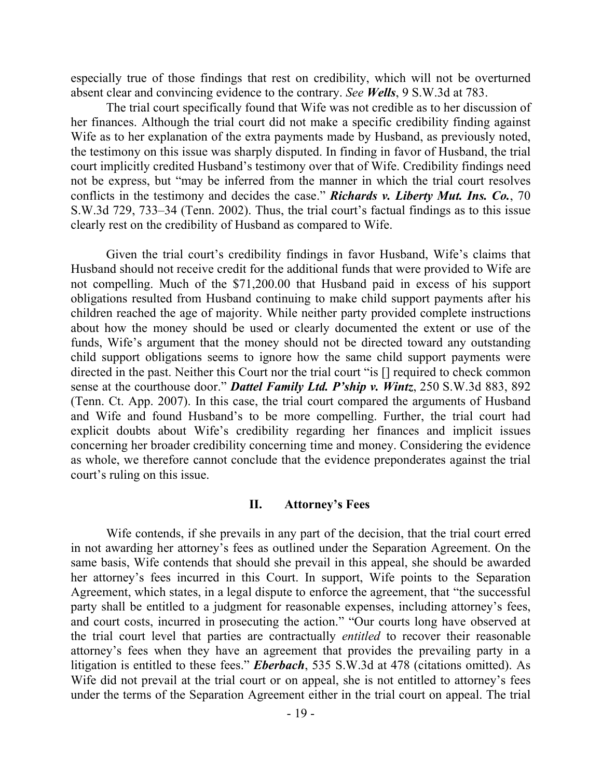especially true of those findings that rest on credibility, which will not be overturned absent clear and convincing evidence to the contrary. *See Wells*, 9 S.W.3d at 783.

The trial court specifically found that Wife was not credible as to her discussion of her finances. Although the trial court did not make a specific credibility finding against Wife as to her explanation of the extra payments made by Husband, as previously noted, the testimony on this issue was sharply disputed. In finding in favor of Husband, the trial court implicitly credited Husband's testimony over that of Wife. Credibility findings need not be express, but "may be inferred from the manner in which the trial court resolves conflicts in the testimony and decides the case." *Richards v. Liberty Mut. Ins. Co.*, 70 S.W.3d 729, 733–34 (Tenn. 2002). Thus, the trial court's factual findings as to this issue clearly rest on the credibility of Husband as compared to Wife.

Given the trial court's credibility findings in favor Husband, Wife's claims that Husband should not receive credit for the additional funds that were provided to Wife are not compelling. Much of the \$71,200.00 that Husband paid in excess of his support obligations resulted from Husband continuing to make child support payments after his children reached the age of majority. While neither party provided complete instructions about how the money should be used or clearly documented the extent or use of the funds, Wife's argument that the money should not be directed toward any outstanding child support obligations seems to ignore how the same child support payments were directed in the past. Neither this Court nor the trial court "is [] required to check common sense at the courthouse door." *Dattel Family Ltd. P'ship v. Wintz*, 250 S.W.3d 883, 892 (Tenn. Ct. App. 2007). In this case, the trial court compared the arguments of Husband and Wife and found Husband's to be more compelling. Further, the trial court had explicit doubts about Wife's credibility regarding her finances and implicit issues concerning her broader credibility concerning time and money. Considering the evidence as whole, we therefore cannot conclude that the evidence preponderates against the trial court's ruling on this issue.

### **II. Attorney's Fees**

Wife contends, if she prevails in any part of the decision, that the trial court erred in not awarding her attorney's fees as outlined under the Separation Agreement. On the same basis, Wife contends that should she prevail in this appeal, she should be awarded her attorney's fees incurred in this Court. In support, Wife points to the Separation Agreement, which states, in a legal dispute to enforce the agreement, that "the successful party shall be entitled to a judgment for reasonable expenses, including attorney's fees, and court costs, incurred in prosecuting the action." "Our courts long have observed at the trial court level that parties are contractually *entitled* to recover their reasonable attorney's fees when they have an agreement that provides the prevailing party in a litigation is entitled to these fees." *Eberbach*, 535 S.W.3d at 478 (citations omitted). As Wife did not prevail at the trial court or on appeal, she is not entitled to attorney's fees under the terms of the Separation Agreement either in the trial court on appeal. The trial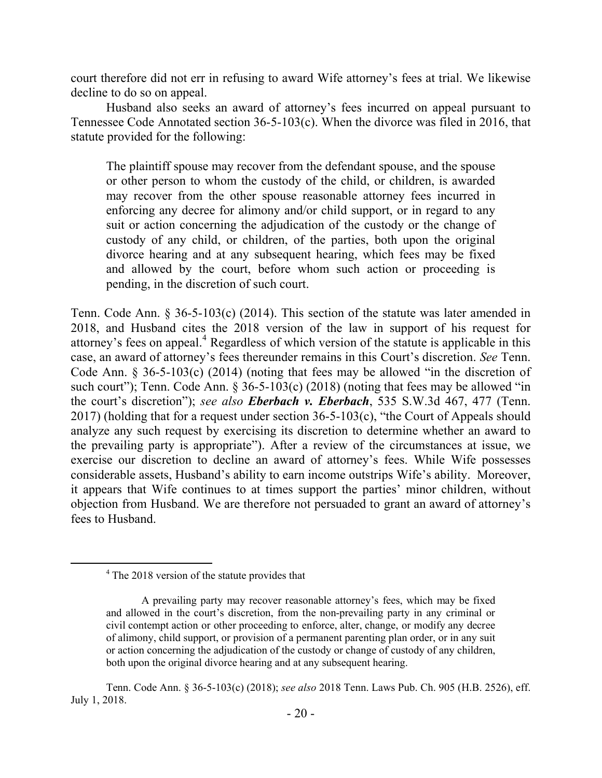court therefore did not err in refusing to award Wife attorney's fees at trial. We likewise decline to do so on appeal.

Husband also seeks an award of attorney's fees incurred on appeal pursuant to Tennessee Code Annotated section 36-5-103(c). When the divorce was filed in 2016, that statute provided for the following:

The plaintiff spouse may recover from the defendant spouse, and the spouse or other person to whom the custody of the child, or children, is awarded may recover from the other spouse reasonable attorney fees incurred in enforcing any decree for alimony and/or child support, or in regard to any suit or action concerning the adjudication of the custody or the change of custody of any child, or children, of the parties, both upon the original divorce hearing and at any subsequent hearing, which fees may be fixed and allowed by the court, before whom such action or proceeding is pending, in the discretion of such court.

Tenn. Code Ann. § 36-5-103(c) (2014). This section of the statute was later amended in 2018, and Husband cites the 2018 version of the law in support of his request for attorney's fees on appeal.<sup>4</sup> Regardless of which version of the statute is applicable in this case, an award of attorney's fees thereunder remains in this Court's discretion. *See* Tenn. Code Ann. § 36-5-103(c) (2014) (noting that fees may be allowed "in the discretion of such court"); Tenn. Code Ann.  $\S 36-5-103(c)$  (2018) (noting that fees may be allowed "in the court's discretion"); *see also Eberbach v. Eberbach*, 535 S.W.3d 467, 477 (Tenn. 2017) (holding that for a request under section  $36-5-103(c)$ , "the Court of Appeals should analyze any such request by exercising its discretion to determine whether an award to the prevailing party is appropriate"). After a review of the circumstances at issue, we exercise our discretion to decline an award of attorney's fees. While Wife possesses considerable assets, Husband's ability to earn income outstrips Wife's ability. Moreover, it appears that Wife continues to at times support the parties' minor children, without objection from Husband. We are therefore not persuaded to grant an award of attorney's fees to Husband.

<sup>&</sup>lt;sup>4</sup> The 2018 version of the statute provides that

A prevailing party may recover reasonable attorney's fees, which may be fixed and allowed in the court's discretion, from the non-prevailing party in any criminal or civil contempt action or other proceeding to enforce, alter, change, or modify any decree of alimony, child support, or provision of a permanent parenting plan order, or in any suit or action concerning the adjudication of the custody or change of custody of any children, both upon the original divorce hearing and at any subsequent hearing.

Tenn. Code Ann. § 36-5-103(c) (2018); *see also* 2018 Tenn. Laws Pub. Ch. 905 (H.B. 2526), eff. July 1, 2018.